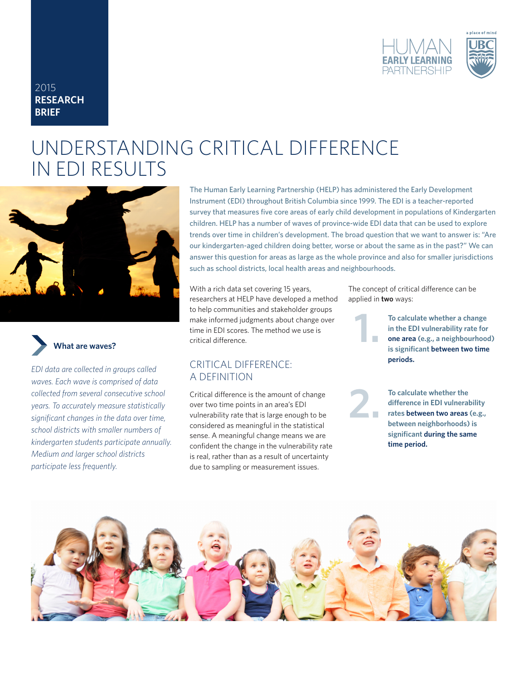

## 2015 **RESEARCH BRIEF**

# UNDERSTANDING CRITICAL DIFFERENCE IN EDI RESULTS





*EDI data are collected in groups called waves. Each wave is comprised of data collected from several consecutive school years. To accurately measure statistically significant changes in the data over time, school districts with smaller numbers of kindergarten students participate annually. Medium and larger school districts participate less frequently.*

The Human Early Learning Partnership (HELP) has administered the Early Development Instrument (EDI) throughout British Columbia since 1999. The EDI is a teacher-reported survey that measures five core areas of early child development in populations of Kindergarten children. HELP has a number of waves of province-wide EDI data that can be used to explore trends over time in children's development. The broad question that we want to answer is: "Are our kindergarten-aged children doing better, worse or about the same as in the past?" We can answer this question for areas as large as the whole province and also for smaller jurisdictions such as school districts, local health areas and neighbourhoods.

**1.**

**2.**

With a rich data set covering 15 years, researchers at HELP have developed a method to help communities and stakeholder groups make informed judgments about change over time in EDI scores. The method we use is critical difference.

## CRITICAL DIFFERENCE: A DEFINITION

Critical difference is the amount of change over two time points in an area's EDI vulnerability rate that is large enough to be considered as meaningful in the statistical sense. A meaningful change means we are confident the change in the vulnerability rate is real, rather than as a result of uncertainty due to sampling or measurement issues.

The concept of critical difference can be applied in **two** ways:

> **To calculate whether a change in the EDI vulnerability rate for one area (e.g., a neighbourhood) is significant between two time periods.**

**To calculate whether the difference in EDI vulnerability rates between two areas (e.g., between neighborhoods) is significant during the same time period.**

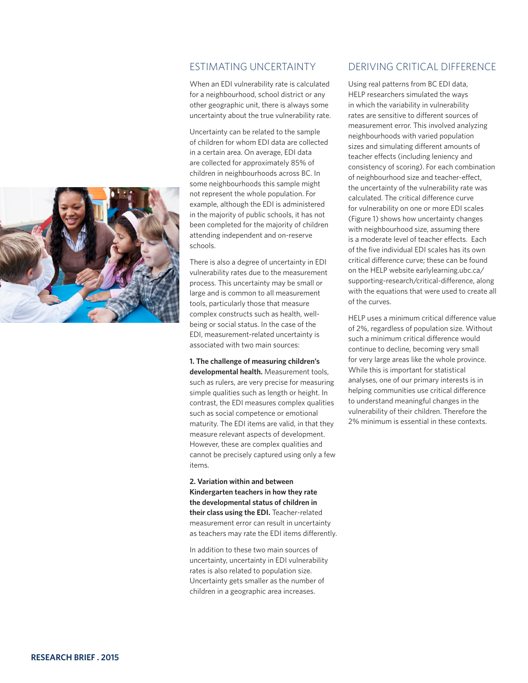

## ESTIMATING UNCERTAINTY

When an EDI vulnerability rate is calculated for a neighbourhood, school district or any other geographic unit, there is always some uncertainty about the true vulnerability rate.

Uncertainty can be related to the sample of children for whom EDI data are collected in a certain area. On average, EDI data are collected for approximately 85% of children in neighbourhoods across BC. In some neighbourhoods this sample might not represent the whole population. For example, although the EDI is administered in the majority of public schools, it has not been completed for the majority of children attending independent and on-reserve schools.

There is also a degree of uncertainty in EDI vulnerability rates due to the measurement process. This uncertainty may be small or large and is common to all measurement tools, particularly those that measure complex constructs such as health, wellbeing or social status. In the case of the EDI, measurement-related uncertainty is associated with two main sources:

**1. The challenge of measuring children's developmental health.** Measurement tools, such as rulers, are very precise for measuring simple qualities such as length or height. In contrast, the EDI measures complex qualities such as social competence or emotional maturity. The EDI items are valid, in that they measure relevant aspects of development. However, these are complex qualities and cannot be precisely captured using only a few items.

**2. Variation within and between Kindergarten teachers in how they rate the developmental status of children in their class using the EDI.** Teacher-related measurement error can result in uncertainty as teachers may rate the EDI items differently.

In addition to these two main sources of uncertainty, uncertainty in EDI vulnerability rates is also related to population size. Uncertainty gets smaller as the number of children in a geographic area increases.

## DERIVING CRITICAL DIFFERENCE

Using real patterns from BC EDI data, HELP researchers simulated the ways in which the variability in vulnerability rates are sensitive to different sources of measurement error. This involved analyzing neighbourhoods with varied population sizes and simulating different amounts of teacher effects (including leniency and consistency of scoring). For each combination of neighbourhood size and teacher-effect, the uncertainty of the vulnerability rate was calculated. The critical difference curve for vulnerability on one or more EDI scales (Figure 1) shows how uncertainty changes with neighbourhood size, assuming there is a moderate level of teacher effects. Each of the five individual EDI scales has its own critical difference curve; these can be found on the HELP website earlylearning.ubc.ca/ supporting-research/critical-difference, along with the equations that were used to create all of the curves.

HELP uses a minimum critical difference value of 2%, regardless of population size. Without such a minimum critical difference would continue to decline, becoming very small for very large areas like the whole province. While this is important for statistical analyses, one of our primary interests is in helping communities use critical difference to understand meaningful changes in the vulnerability of their children. Therefore the 2% minimum is essential in these contexts.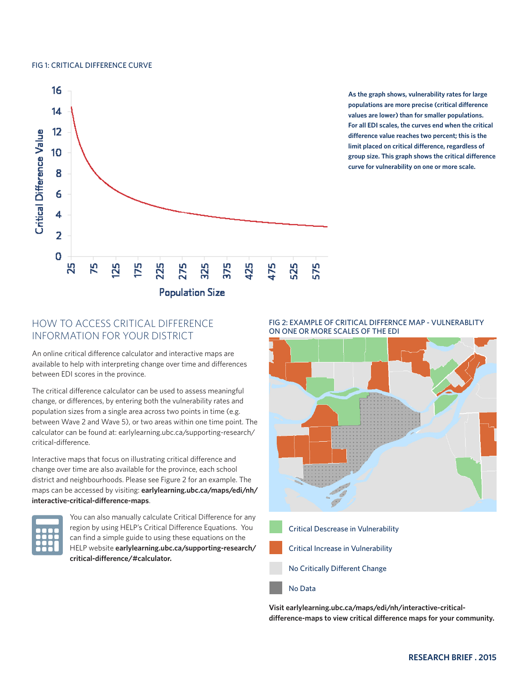#### FIG 1: CRITICAL DIFFERENCE CURVE



**As the graph shows, vulnerability rates for large populations are more precise (critical difference values are lower) than for smaller populations. For all EDI scales, the curves end when the critical difference value reaches two percent; this is the limit placed on critical difference, regardless of group size. This graph shows the critical difference curve for vulnerability on one or more scale.**

## HOW TO ACCESS CRITICAL DIFFERENCE INFORMATION FOR YOUR DISTRICT

An online critical difference calculator and interactive maps are available to help with interpreting change over time and differences between EDI scores in the province.

The critical difference calculator can be used to assess meaningful change, or differences, by entering both the vulnerability rates and population sizes from a single area across two points in time (e.g. between Wave 2 and Wave 5), or two areas within one time point. The calculator can be found at: earlylearning.ubc.ca/supporting-research/ critical-difference.

Interactive maps that focus on illustrating critical difference and change over time are also available for the province, each school district and neighbourhoods. Please see Figure 2 for an example. The maps can be accessed by visiting: **earlylearning.ubc.ca/maps/edi/nh/ interactive-critical-difference-maps**.



You can also manually calculate Critical Difference for any region by using HELP's Critical Difference Equations. You can find a simple guide to using these equations on the HELP website **earlylearning.ubc.ca/supporting-research/ critical-difference/#calculator.**





- Critical Increase in Vulnerability
- No Critically Different Change
- No Data

**Visit earlylearning.ubc.ca/maps/edi/nh/interactive-criticaldifference-maps to view critical difference maps for your community.**